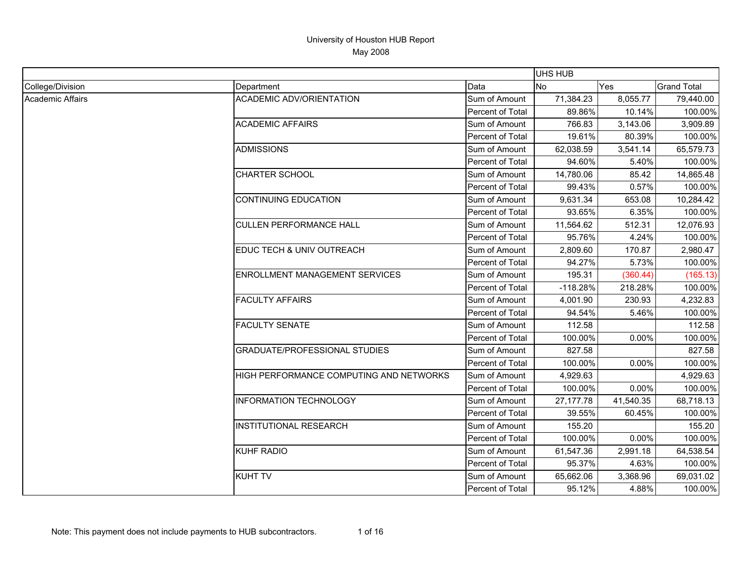|                  |                                         |                         | <b>UHS HUB</b> |           |                    |
|------------------|-----------------------------------------|-------------------------|----------------|-----------|--------------------|
| College/Division | Department                              | Data                    | N <sub>o</sub> | Yes       | <b>Grand Total</b> |
| Academic Affairs | <b>ACADEMIC ADV/ORIENTATION</b>         | Sum of Amount           | 71,384.23      | 8,055.77  | 79,440.00          |
|                  |                                         | Percent of Total        | 89.86%         | 10.14%    | 100.00%            |
|                  | <b>ACADEMIC AFFAIRS</b>                 | Sum of Amount           | 766.83         | 3,143.06  | 3,909.89           |
|                  |                                         | Percent of Total        | 19.61%         | 80.39%    | 100.00%            |
|                  | <b>ADMISSIONS</b>                       | Sum of Amount           | 62,038.59      | 3,541.14  | 65,579.73          |
|                  |                                         | Percent of Total        | 94.60%         | 5.40%     | 100.00%            |
|                  | <b>CHARTER SCHOOL</b>                   | Sum of Amount           | 14,780.06      | 85.42     | 14,865.48          |
|                  |                                         | Percent of Total        | 99.43%         | 0.57%     | 100.00%            |
|                  | <b>CONTINUING EDUCATION</b>             | Sum of Amount           | 9,631.34       | 653.08    | 10,284.42          |
|                  |                                         | Percent of Total        | 93.65%         | 6.35%     | 100.00%            |
|                  | <b>CULLEN PERFORMANCE HALL</b>          | Sum of Amount           | 11,564.62      | 512.31    | 12,076.93          |
|                  |                                         | Percent of Total        | 95.76%         | 4.24%     | 100.00%            |
|                  | EDUC TECH & UNIV OUTREACH               | Sum of Amount           | 2,809.60       | 170.87    | 2,980.47           |
|                  |                                         | Percent of Total        | 94.27%         | 5.73%     | 100.00%            |
|                  | ENROLLMENT MANAGEMENT SERVICES          | Sum of Amount           | 195.31         | (360.44)  | (165.13)           |
|                  |                                         | Percent of Total        | $-118.28%$     | 218.28%   | 100.00%            |
|                  | <b>FACULTY AFFAIRS</b>                  | Sum of Amount           | 4,001.90       | 230.93    | 4,232.83           |
|                  |                                         | Percent of Total        | 94.54%         | 5.46%     | 100.00%            |
|                  | <b>FACULTY SENATE</b>                   | Sum of Amount           | 112.58         |           | 112.58             |
|                  |                                         | <b>Percent of Total</b> | 100.00%        | $0.00\%$  | 100.00%            |
|                  | <b>GRADUATE/PROFESSIONAL STUDIES</b>    | Sum of Amount           | 827.58         |           | 827.58             |
|                  |                                         | Percent of Total        | 100.00%        | 0.00%     | 100.00%            |
|                  | HIGH PERFORMANCE COMPUTING AND NETWORKS | Sum of Amount           | 4,929.63       |           | 4,929.63           |
|                  |                                         | Percent of Total        | 100.00%        | 0.00%     | 100.00%            |
|                  | <b>INFORMATION TECHNOLOGY</b>           | Sum of Amount           | 27, 177. 78    | 41,540.35 | 68,718.13          |
|                  |                                         | Percent of Total        | 39.55%         | 60.45%    | 100.00%            |
|                  | <b>INSTITUTIONAL RESEARCH</b>           | Sum of Amount           | 155.20         |           | 155.20             |
|                  |                                         | <b>Percent of Total</b> | 100.00%        | $0.00\%$  | 100.00%            |
|                  | <b>KUHF RADIO</b>                       | Sum of Amount           | 61,547.36      | 2,991.18  | 64,538.54          |
|                  |                                         | Percent of Total        | 95.37%         | 4.63%     | 100.00%            |
|                  | <b>KUHT TV</b>                          | Sum of Amount           | 65,662.06      | 3,368.96  | 69,031.02          |
|                  |                                         | Percent of Total        | 95.12%         | 4.88%     | 100.00%            |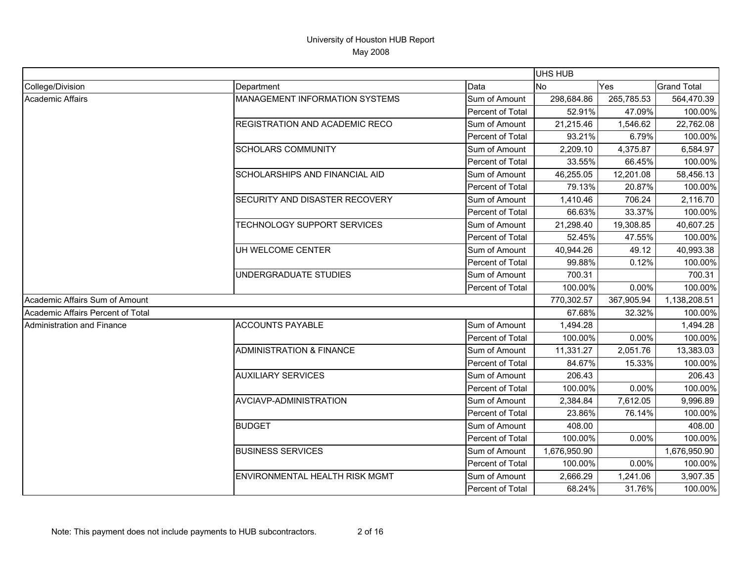|                                   |                                       |                  | UHS HUB        |            |                    |
|-----------------------------------|---------------------------------------|------------------|----------------|------------|--------------------|
| College/Division                  | Department                            | Data             | N <sub>0</sub> | Yes        | <b>Grand Total</b> |
| Academic Affairs                  | <b>MANAGEMENT INFORMATION SYSTEMS</b> | Sum of Amount    | 298,684.86     | 265,785.53 | 564,470.39         |
|                                   |                                       | Percent of Total | 52.91%         | 47.09%     | 100.00%            |
|                                   | <b>REGISTRATION AND ACADEMIC RECO</b> | Sum of Amount    | 21,215.46      | 1,546.62   | 22,762.08          |
|                                   |                                       | Percent of Total | 93.21%         | 6.79%      | 100.00%            |
|                                   | <b>SCHOLARS COMMUNITY</b>             | Sum of Amount    | 2,209.10       | 4,375.87   | 6,584.97           |
|                                   |                                       | Percent of Total | 33.55%         | 66.45%     | 100.00%            |
|                                   | <b>SCHOLARSHIPS AND FINANCIAL AID</b> | Sum of Amount    | 46,255.05      | 12,201.08  | 58,456.13          |
|                                   |                                       | Percent of Total | 79.13%         | 20.87%     | 100.00%            |
|                                   | SECURITY AND DISASTER RECOVERY        | Sum of Amount    | 1,410.46       | 706.24     | 2,116.70           |
|                                   |                                       | Percent of Total | 66.63%         | 33.37%     | 100.00%            |
|                                   | TECHNOLOGY SUPPORT SERVICES           | Sum of Amount    | 21,298.40      | 19,308.85  | 40,607.25          |
|                                   |                                       | Percent of Total | 52.45%         | 47.55%     | 100.00%            |
|                                   | UH WELCOME CENTER                     | Sum of Amount    | 40,944.26      | 49.12      | 40,993.38          |
|                                   |                                       | Percent of Total | 99.88%         | 0.12%      | 100.00%            |
|                                   | UNDERGRADUATE STUDIES                 | Sum of Amount    | 700.31         |            | 700.31             |
|                                   |                                       | Percent of Total | 100.00%        | 0.00%      | 100.00%            |
| Academic Affairs Sum of Amount    |                                       |                  | 770,302.57     | 367,905.94 | 1,138,208.51       |
| Academic Affairs Percent of Total |                                       |                  | 67.68%         | 32.32%     | 100.00%            |
| Administration and Finance        | <b>ACCOUNTS PAYABLE</b>               | Sum of Amount    | 1,494.28       |            | 1,494.28           |
|                                   |                                       | Percent of Total | 100.00%        | 0.00%      | 100.00%            |
|                                   | <b>ADMINISTRATION &amp; FINANCE</b>   | Sum of Amount    | 11,331.27      | 2,051.76   | 13,383.03          |
|                                   |                                       | Percent of Total | 84.67%         | 15.33%     | 100.00%            |
|                                   | <b>AUXILIARY SERVICES</b>             | Sum of Amount    | 206.43         |            | 206.43             |
|                                   |                                       | Percent of Total | 100.00%        | 0.00%      | 100.00%            |
|                                   | AVCIAVP-ADMINISTRATION                | Sum of Amount    | 2,384.84       | 7,612.05   | 9,996.89           |
|                                   |                                       | Percent of Total | 23.86%         | 76.14%     | 100.00%            |
|                                   | <b>BUDGET</b>                         | Sum of Amount    | 408.00         |            | 408.00             |
|                                   |                                       | Percent of Total | 100.00%        | 0.00%      | 100.00%            |
|                                   | <b>BUSINESS SERVICES</b>              | Sum of Amount    | 1,676,950.90   |            | 1,676,950.90       |
|                                   |                                       | Percent of Total | 100.00%        | 0.00%      | 100.00%            |
|                                   | ENVIRONMENTAL HEALTH RISK MGMT        | Sum of Amount    | 2,666.29       | 1,241.06   | 3,907.35           |
|                                   |                                       | Percent of Total | 68.24%         | 31.76%     | 100.00%            |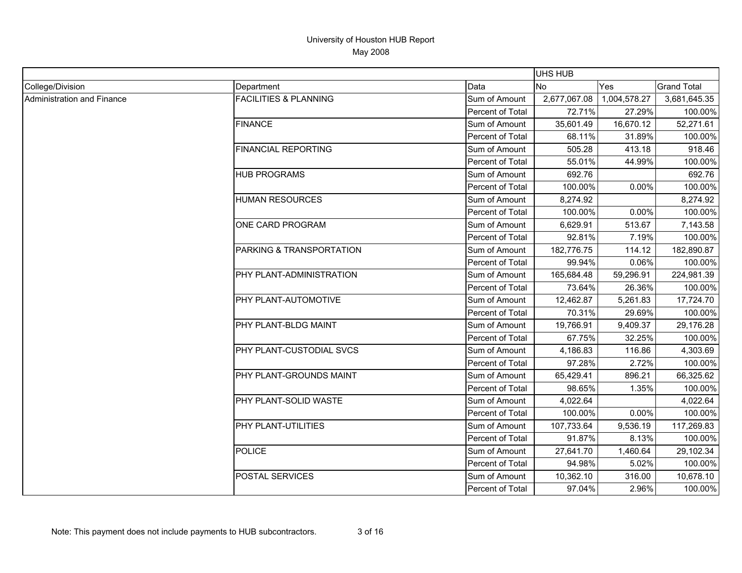|                            |                                  |                         | UHS HUB      |              |                    |
|----------------------------|----------------------------------|-------------------------|--------------|--------------|--------------------|
| College/Division           | Department                       | Data                    | <b>No</b>    | <b>Yes</b>   | <b>Grand Total</b> |
| Administration and Finance | <b>FACILITIES &amp; PLANNING</b> | Sum of Amount           | 2,677,067.08 | 1,004,578.27 | 3,681,645.35       |
|                            |                                  | <b>Percent of Total</b> | 72.71%       | 27.29%       | 100.00%            |
|                            | <b>FINANCE</b>                   | Sum of Amount           | 35,601.49    | 16,670.12    | 52,271.61          |
|                            |                                  | Percent of Total        | 68.11%       | 31.89%       | 100.00%            |
|                            | <b>FINANCIAL REPORTING</b>       | Sum of Amount           | 505.28       | 413.18       | 918.46             |
|                            |                                  | Percent of Total        | 55.01%       | 44.99%       | 100.00%            |
|                            | <b>HUB PROGRAMS</b>              | Sum of Amount           | 692.76       |              | 692.76             |
|                            |                                  | <b>Percent of Total</b> | 100.00%      | 0.00%        | 100.00%            |
|                            | <b>HUMAN RESOURCES</b>           | Sum of Amount           | 8,274.92     |              | 8,274.92           |
|                            |                                  | Percent of Total        | 100.00%      | 0.00%        | 100.00%            |
|                            | ONE CARD PROGRAM                 | Sum of Amount           | 6,629.91     | 513.67       | 7,143.58           |
|                            |                                  | Percent of Total        | 92.81%       | 7.19%        | 100.00%            |
|                            | PARKING & TRANSPORTATION         | Sum of Amount           | 182,776.75   | 114.12       | 182,890.87         |
|                            |                                  | Percent of Total        | 99.94%       | 0.06%        | 100.00%            |
|                            | PHY PLANT-ADMINISTRATION         | Sum of Amount           | 165,684.48   | 59,296.91    | 224,981.39         |
|                            |                                  | <b>Percent of Total</b> | 73.64%       | 26.36%       | 100.00%            |
|                            | PHY PLANT-AUTOMOTIVE             | Sum of Amount           | 12,462.87    | 5,261.83     | 17,724.70          |
|                            |                                  | Percent of Total        | 70.31%       | 29.69%       | 100.00%            |
|                            | PHY PLANT-BLDG MAINT             | Sum of Amount           | 19,766.91    | 9,409.37     | 29,176.28          |
|                            |                                  | Percent of Total        | 67.75%       | 32.25%       | 100.00%            |
|                            | PHY PLANT-CUSTODIAL SVCS         | Sum of Amount           | 4,186.83     | 116.86       | 4,303.69           |
|                            |                                  | Percent of Total        | 97.28%       | 2.72%        | 100.00%            |
|                            | PHY PLANT-GROUNDS MAINT          | Sum of Amount           | 65,429.41    | 896.21       | 66,325.62          |
|                            |                                  | Percent of Total        | 98.65%       | 1.35%        | 100.00%            |
|                            | PHY PLANT-SOLID WASTE            | Sum of Amount           | 4,022.64     |              | 4,022.64           |
|                            |                                  | Percent of Total        | 100.00%      | 0.00%        | 100.00%            |
|                            | PHY PLANT-UTILITIES              | Sum of Amount           | 107,733.64   | 9,536.19     | 117,269.83         |
|                            |                                  | Percent of Total        | 91.87%       | 8.13%        | 100.00%            |
|                            | <b>POLICE</b>                    | Sum of Amount           | 27,641.70    | 1,460.64     | 29,102.34          |
|                            |                                  | Percent of Total        | 94.98%       | 5.02%        | 100.00%            |
|                            | POSTAL SERVICES                  | Sum of Amount           | 10,362.10    | 316.00       | 10,678.10          |
|                            |                                  | Percent of Total        | 97.04%       | 2.96%        | 100.00%            |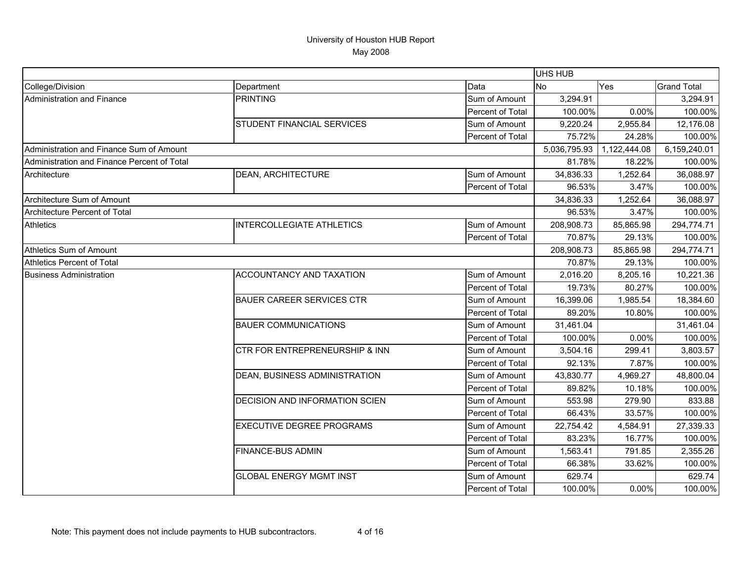|                                             |                                       |                  | UHS HUB      |              |                    |
|---------------------------------------------|---------------------------------------|------------------|--------------|--------------|--------------------|
| College/Division                            | Department                            | Data             | <b>No</b>    | Yes          | <b>Grand Total</b> |
| Administration and Finance                  | <b>PRINTING</b>                       | Sum of Amount    | 3,294.91     |              | 3,294.91           |
|                                             |                                       | Percent of Total | 100.00%      | 0.00%        | 100.00%            |
|                                             | <b>STUDENT FINANCIAL SERVICES</b>     | Sum of Amount    | 9,220.24     | 2,955.84     | 12,176.08          |
|                                             |                                       | Percent of Total | 75.72%       | 24.28%       | 100.00%            |
| Administration and Finance Sum of Amount    |                                       |                  | 5,036,795.93 | 1,122,444.08 | 6,159,240.01       |
| Administration and Finance Percent of Total |                                       |                  | 81.78%       | 18.22%       | 100.00%            |
| Architecture                                | <b>DEAN, ARCHITECTURE</b>             | Sum of Amount    | 34,836.33    | 1,252.64     | 36,088.97          |
|                                             |                                       | Percent of Total | 96.53%       | 3.47%        | 100.00%            |
| Architecture Sum of Amount                  |                                       |                  | 34,836.33    | 1,252.64     | 36,088.97          |
| Architecture Percent of Total               |                                       |                  | 96.53%       | 3.47%        | 100.00%            |
| <b>Athletics</b>                            | <b>INTERCOLLEGIATE ATHLETICS</b>      | Sum of Amount    | 208,908.73   | 85,865.98    | 294,774.71         |
|                                             |                                       | Percent of Total | 70.87%       | 29.13%       | 100.00%            |
| Athletics Sum of Amount                     |                                       |                  | 208,908.73   | 85,865.98    | 294,774.71         |
| Athletics Percent of Total                  |                                       |                  | 70.87%       | 29.13%       | 100.00%            |
| <b>Business Administration</b>              | ACCOUNTANCY AND TAXATION              | Sum of Amount    | 2,016.20     | 8,205.16     | 10,221.36          |
|                                             |                                       | Percent of Total | 19.73%       | 80.27%       | 100.00%            |
|                                             | <b>BAUER CAREER SERVICES CTR</b>      | Sum of Amount    | 16,399.06    | 1,985.54     | 18,384.60          |
|                                             |                                       | Percent of Total | 89.20%       | 10.80%       | 100.00%            |
|                                             | <b>BAUER COMMUNICATIONS</b>           | Sum of Amount    | 31,461.04    |              | 31,461.04          |
|                                             |                                       | Percent of Total | 100.00%      | 0.00%        | 100.00%            |
|                                             | CTR FOR ENTREPRENEURSHIP & INN        | Sum of Amount    | 3,504.16     | 299.41       | 3,803.57           |
|                                             |                                       | Percent of Total | 92.13%       | 7.87%        | 100.00%            |
|                                             | <b>DEAN, BUSINESS ADMINISTRATION</b>  | Sum of Amount    | 43,830.77    | 4,969.27     | 48,800.04          |
|                                             |                                       | Percent of Total | 89.82%       | 10.18%       | 100.00%            |
|                                             | <b>DECISION AND INFORMATION SCIEN</b> | Sum of Amount    | 553.98       | 279.90       | 833.88             |
|                                             |                                       | Percent of Total | 66.43%       | 33.57%       | 100.00%            |
|                                             | <b>EXECUTIVE DEGREE PROGRAMS</b>      | Sum of Amount    | 22,754.42    | 4,584.91     | 27,339.33          |
|                                             |                                       | Percent of Total | 83.23%       | 16.77%       | 100.00%            |
|                                             | <b>FINANCE-BUS ADMIN</b>              | Sum of Amount    | 1,563.41     | 791.85       | 2,355.26           |
|                                             |                                       | Percent of Total | 66.38%       | 33.62%       | 100.00%            |
|                                             | <b>GLOBAL ENERGY MGMT INST</b>        | Sum of Amount    | 629.74       |              | 629.74             |
|                                             |                                       | Percent of Total | 100.00%      | 0.00%        | 100.00%            |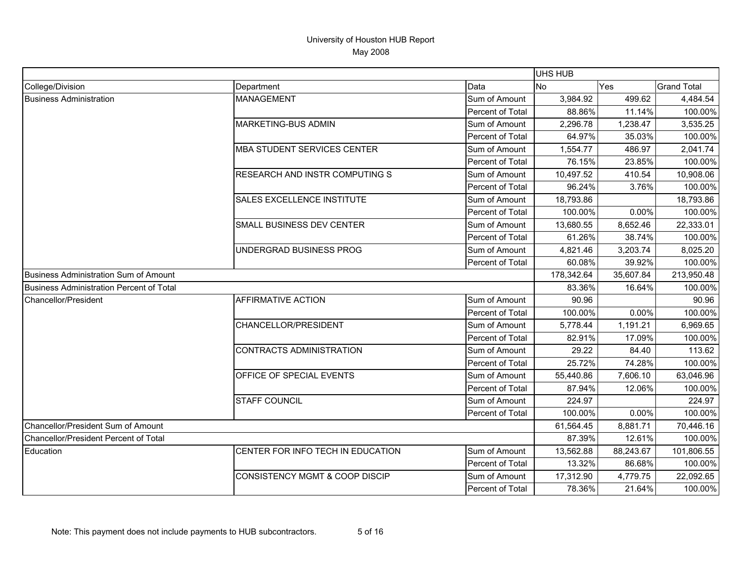|                                          |                                           |                  | UHS HUB    |           |                    |
|------------------------------------------|-------------------------------------------|------------------|------------|-----------|--------------------|
| College/Division                         | Department                                | Data             | <b>No</b>  | Yes       | <b>Grand Total</b> |
| <b>Business Administration</b>           | <b>MANAGEMENT</b>                         | Sum of Amount    | 3,984.92   | 499.62    | 4,484.54           |
|                                          |                                           | Percent of Total | 88.86%     | 11.14%    | 100.00%            |
|                                          | MARKETING-BUS ADMIN                       | Sum of Amount    | 2,296.78   | 1,238.47  | 3,535.25           |
|                                          |                                           | Percent of Total | 64.97%     | 35.03%    | 100.00%            |
|                                          | <b>MBA STUDENT SERVICES CENTER</b>        | Sum of Amount    | 1,554.77   | 486.97    | 2,041.74           |
|                                          |                                           | Percent of Total | 76.15%     | 23.85%    | 100.00%            |
|                                          | RESEARCH AND INSTR COMPUTING S            | Sum of Amount    | 10,497.52  | 410.54    | 10,908.06          |
|                                          |                                           | Percent of Total | 96.24%     | 3.76%     | 100.00%            |
|                                          | SALES EXCELLENCE INSTITUTE                | Sum of Amount    | 18,793.86  |           | 18,793.86          |
|                                          |                                           | Percent of Total | 100.00%    | 0.00%     | 100.00%            |
|                                          | <b>SMALL BUSINESS DEV CENTER</b>          | Sum of Amount    | 13,680.55  | 8,652.46  | 22,333.01          |
|                                          |                                           | Percent of Total | 61.26%     | 38.74%    | 100.00%            |
|                                          | UNDERGRAD BUSINESS PROG                   | Sum of Amount    | 4,821.46   | 3,203.74  | 8,025.20           |
|                                          |                                           | Percent of Total | 60.08%     | 39.92%    | 100.00%            |
| Business Administration Sum of Amount    |                                           |                  | 178,342.64 | 35,607.84 | 213,950.48         |
| Business Administration Percent of Total |                                           |                  | 83.36%     | 16.64%    | 100.00%            |
| Chancellor/President                     | <b>AFFIRMATIVE ACTION</b>                 | Sum of Amount    | 90.96      |           | 90.96              |
|                                          |                                           | Percent of Total | 100.00%    | 0.00%     | 100.00%            |
|                                          | CHANCELLOR/PRESIDENT                      | Sum of Amount    | 5,778.44   | 1,191.21  | 6,969.65           |
|                                          |                                           | Percent of Total | 82.91%     | 17.09%    | 100.00%            |
|                                          | <b>CONTRACTS ADMINISTRATION</b>           | Sum of Amount    | 29.22      | 84.40     | 113.62             |
|                                          |                                           | Percent of Total | 25.72%     | 74.28%    | 100.00%            |
|                                          | OFFICE OF SPECIAL EVENTS                  | Sum of Amount    | 55,440.86  | 7,606.10  | 63,046.96          |
|                                          |                                           | Percent of Total | 87.94%     | 12.06%    | 100.00%            |
|                                          | <b>STAFF COUNCIL</b>                      | Sum of Amount    | 224.97     |           | 224.97             |
|                                          |                                           | Percent of Total | 100.00%    | 0.00%     | 100.00%            |
| Chancellor/President Sum of Amount       |                                           |                  | 61,564.45  | 8,881.71  | 70,446.16          |
| Chancellor/President Percent of Total    |                                           |                  | 87.39%     | 12.61%    | 100.00%            |
| Education                                | CENTER FOR INFO TECH IN EDUCATION         | Sum of Amount    | 13,562.88  | 88,243.67 | 101,806.55         |
|                                          |                                           | Percent of Total | 13.32%     | 86.68%    | 100.00%            |
|                                          | <b>CONSISTENCY MGMT &amp; COOP DISCIP</b> | Sum of Amount    | 17,312.90  | 4,779.75  | 22,092.65          |
|                                          |                                           | Percent of Total | 78.36%     | 21.64%    | 100.00%            |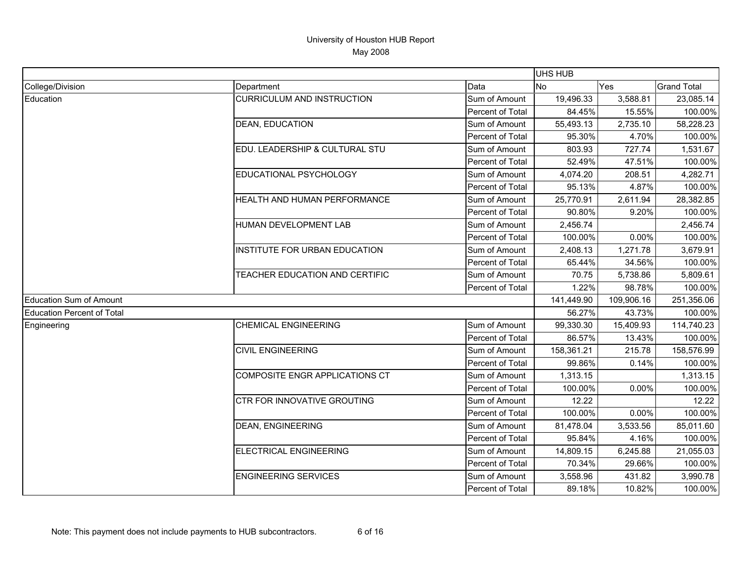|                                   |                                   |                  | UHS HUB        |            |                    |
|-----------------------------------|-----------------------------------|------------------|----------------|------------|--------------------|
| College/Division                  | Department                        | Data             | N <sub>0</sub> | Yes        | <b>Grand Total</b> |
| Education                         | <b>CURRICULUM AND INSTRUCTION</b> | Sum of Amount    | 19,496.33      | 3,588.81   | 23,085.14          |
|                                   |                                   | Percent of Total | 84.45%         | 15.55%     | 100.00%            |
|                                   | <b>DEAN, EDUCATION</b>            | Sum of Amount    | 55,493.13      | 2,735.10   | 58,228.23          |
|                                   |                                   | Percent of Total | 95.30%         | 4.70%      | 100.00%            |
|                                   | EDU. LEADERSHIP & CULTURAL STU    | Sum of Amount    | 803.93         | 727.74     | 1,531.67           |
|                                   |                                   | Percent of Total | 52.49%         | 47.51%     | 100.00%            |
|                                   | EDUCATIONAL PSYCHOLOGY            | Sum of Amount    | 4,074.20       | 208.51     | 4,282.71           |
|                                   |                                   | Percent of Total | 95.13%         | 4.87%      | 100.00%            |
|                                   | HEALTH AND HUMAN PERFORMANCE      | Sum of Amount    | 25,770.91      | 2,611.94   | 28,382.85          |
|                                   |                                   | Percent of Total | 90.80%         | 9.20%      | 100.00%            |
|                                   | HUMAN DEVELOPMENT LAB             | Sum of Amount    | 2,456.74       |            | 2,456.74           |
|                                   |                                   | Percent of Total | 100.00%        | 0.00%      | 100.00%            |
|                                   | INSTITUTE FOR URBAN EDUCATION     | Sum of Amount    | 2,408.13       | 1,271.78   | 3,679.91           |
|                                   |                                   | Percent of Total | 65.44%         | 34.56%     | 100.00%            |
|                                   | TEACHER EDUCATION AND CERTIFIC    | Sum of Amount    | 70.75          | 5,738.86   | 5,809.61           |
|                                   |                                   | Percent of Total | 1.22%          | 98.78%     | 100.00%            |
| Education Sum of Amount           |                                   |                  | 141,449.90     | 109,906.16 | 251,356.06         |
| <b>Education Percent of Total</b> |                                   |                  | 56.27%         | 43.73%     | 100.00%            |
| Engineering                       | <b>CHEMICAL ENGINEERING</b>       | Sum of Amount    | 99,330.30      | 15,409.93  | 114,740.23         |
|                                   |                                   | Percent of Total | 86.57%         | 13.43%     | 100.00%            |
|                                   | <b>CIVIL ENGINEERING</b>          | Sum of Amount    | 158,361.21     | 215.78     | 158,576.99         |
|                                   |                                   | Percent of Total | 99.86%         | 0.14%      | 100.00%            |
|                                   | COMPOSITE ENGR APPLICATIONS CT    | Sum of Amount    | 1,313.15       |            | 1,313.15           |
|                                   |                                   | Percent of Total | 100.00%        | 0.00%      | 100.00%            |
|                                   | CTR FOR INNOVATIVE GROUTING       | Sum of Amount    | 12.22          |            | 12.22              |
|                                   |                                   | Percent of Total | 100.00%        | 0.00%      | 100.00%            |
|                                   | <b>DEAN, ENGINEERING</b>          | Sum of Amount    | 81,478.04      | 3,533.56   | 85,011.60          |
|                                   |                                   | Percent of Total | 95.84%         | 4.16%      | 100.00%            |
|                                   | <b>ELECTRICAL ENGINEERING</b>     | Sum of Amount    | 14,809.15      | 6,245.88   | 21,055.03          |
|                                   |                                   | Percent of Total | 70.34%         | 29.66%     | 100.00%            |
|                                   | <b>ENGINEERING SERVICES</b>       | Sum of Amount    | 3,558.96       | 431.82     | 3,990.78           |
|                                   |                                   | Percent of Total | 89.18%         | 10.82%     | 100.00%            |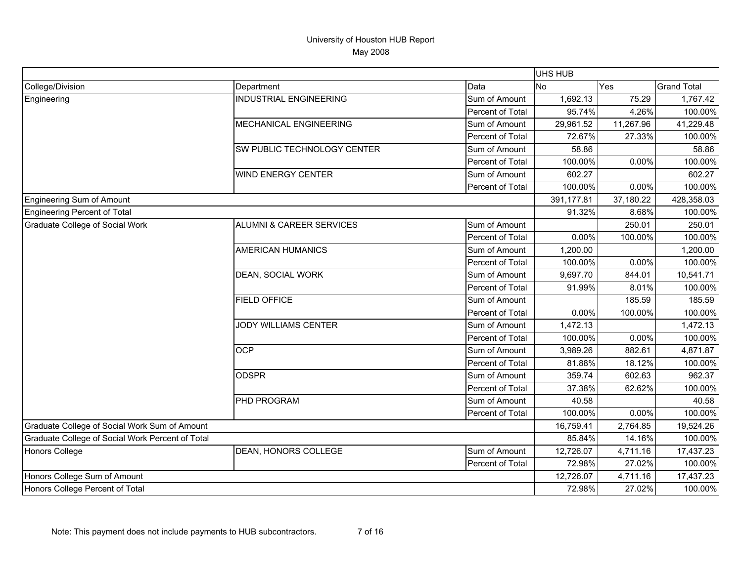|                                                  |                                     |                  | UHS HUB    |           |                    |
|--------------------------------------------------|-------------------------------------|------------------|------------|-----------|--------------------|
| College/Division                                 | Department                          | Data             | <b>No</b>  | Yes       | <b>Grand Total</b> |
| Engineering                                      | <b>INDUSTRIAL ENGINEERING</b>       | Sum of Amount    | 1,692.13   | 75.29     | 1,767.42           |
|                                                  |                                     | Percent of Total | 95.74%     | 4.26%     | 100.00%            |
|                                                  | MECHANICAL ENGINEERING              | Sum of Amount    | 29,961.52  | 11,267.96 | 41,229.48          |
|                                                  |                                     | Percent of Total | 72.67%     | 27.33%    | 100.00%            |
|                                                  | SW PUBLIC TECHNOLOGY CENTER         | Sum of Amount    | 58.86      |           | 58.86              |
|                                                  |                                     | Percent of Total | 100.00%    | 0.00%     | 100.00%            |
|                                                  | <b>WIND ENERGY CENTER</b>           | Sum of Amount    | 602.27     |           | 602.27             |
|                                                  |                                     | Percent of Total | 100.00%    | 0.00%     | 100.00%            |
| Engineering Sum of Amount                        |                                     |                  | 391,177.81 | 37,180.22 | 428,358.03         |
| Engineering Percent of Total                     |                                     |                  | 91.32%     | 8.68%     | 100.00%            |
| Graduate College of Social Work                  | <b>ALUMNI &amp; CAREER SERVICES</b> | Sum of Amount    |            | 250.01    | 250.01             |
|                                                  |                                     | Percent of Total | 0.00%      | 100.00%   | 100.00%            |
|                                                  | <b>AMERICAN HUMANICS</b>            | Sum of Amount    | 1,200.00   |           | 1,200.00           |
|                                                  |                                     | Percent of Total | 100.00%    | 0.00%     | 100.00%            |
|                                                  | DEAN, SOCIAL WORK                   | Sum of Amount    | 9,697.70   | 844.01    | 10,541.71          |
|                                                  |                                     | Percent of Total | 91.99%     | 8.01%     | 100.00%            |
|                                                  | <b>FIELD OFFICE</b>                 | Sum of Amount    |            | 185.59    | 185.59             |
|                                                  |                                     | Percent of Total | 0.00%      | 100.00%   | 100.00%            |
|                                                  | <b>JODY WILLIAMS CENTER</b>         | Sum of Amount    | 1,472.13   |           | 1,472.13           |
|                                                  |                                     | Percent of Total | 100.00%    | 0.00%     | 100.00%            |
|                                                  | <b>OCP</b>                          | Sum of Amount    | 3,989.26   | 882.61    | 4,871.87           |
|                                                  |                                     | Percent of Total | 81.88%     | 18.12%    | 100.00%            |
|                                                  | <b>ODSPR</b>                        | Sum of Amount    | 359.74     | 602.63    | 962.37             |
|                                                  |                                     | Percent of Total | 37.38%     | 62.62%    | 100.00%            |
|                                                  | PHD PROGRAM                         | Sum of Amount    | 40.58      |           | 40.58              |
|                                                  |                                     | Percent of Total | 100.00%    | 0.00%     | 100.00%            |
| Graduate College of Social Work Sum of Amount    |                                     |                  | 16,759.41  | 2,764.85  | 19,524.26          |
| Graduate College of Social Work Percent of Total |                                     |                  | 85.84%     | 14.16%    | 100.00%            |
| Honors College                                   | DEAN, HONORS COLLEGE                | Sum of Amount    | 12,726.07  | 4,711.16  | 17,437.23          |
|                                                  |                                     | Percent of Total | 72.98%     | 27.02%    | 100.00%            |
| Honors College Sum of Amount                     |                                     |                  | 12,726.07  | 4,711.16  | 17,437.23          |
| Honors College Percent of Total                  |                                     |                  | 72.98%     | 27.02%    | 100.00%            |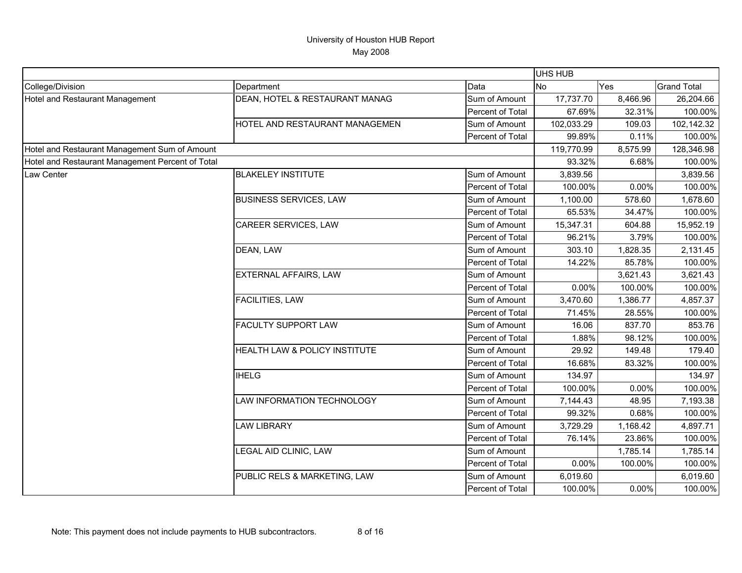|                                                  |                                |                  | UHS HUB    |          |                    |
|--------------------------------------------------|--------------------------------|------------------|------------|----------|--------------------|
| College/Division                                 | Department                     | Data             | <b>No</b>  | Yes      | <b>Grand Total</b> |
| Hotel and Restaurant Management                  | DEAN, HOTEL & RESTAURANT MANAG | Sum of Amount    | 17,737.70  | 8,466.96 | 26,204.66          |
|                                                  |                                | Percent of Total | 67.69%     | 32.31%   | 100.00%            |
|                                                  | HOTEL AND RESTAURANT MANAGEMEN | Sum of Amount    | 102,033.29 | 109.03   | 102,142.32         |
|                                                  |                                | Percent of Total | 99.89%     | 0.11%    | 100.00%            |
| Hotel and Restaurant Management Sum of Amount    |                                |                  | 119,770.99 | 8,575.99 | 128,346.98         |
| Hotel and Restaurant Management Percent of Total |                                |                  | 93.32%     | 6.68%    | 100.00%            |
| Law Center                                       | <b>BLAKELEY INSTITUTE</b>      | Sum of Amount    | 3,839.56   |          | 3,839.56           |
|                                                  |                                | Percent of Total | 100.00%    | 0.00%    | 100.00%            |
|                                                  | <b>BUSINESS SERVICES, LAW</b>  | Sum of Amount    | 1,100.00   | 578.60   | 1,678.60           |
|                                                  |                                | Percent of Total | 65.53%     | 34.47%   | 100.00%            |
|                                                  | CAREER SERVICES, LAW           | Sum of Amount    | 15,347.31  | 604.88   | 15,952.19          |
|                                                  |                                | Percent of Total | 96.21%     | 3.79%    | 100.00%            |
|                                                  | DEAN, LAW                      | Sum of Amount    | 303.10     | 1,828.35 | 2,131.45           |
|                                                  |                                | Percent of Total | 14.22%     | 85.78%   | 100.00%            |
|                                                  | EXTERNAL AFFAIRS, LAW          | Sum of Amount    |            | 3,621.43 | 3,621.43           |
|                                                  |                                | Percent of Total | 0.00%      | 100.00%  | 100.00%            |
|                                                  | FACILITIES, LAW                | Sum of Amount    | 3,470.60   | 1,386.77 | 4,857.37           |
|                                                  |                                | Percent of Total | 71.45%     | 28.55%   | 100.00%            |
|                                                  | <b>FACULTY SUPPORT LAW</b>     | Sum of Amount    | 16.06      | 837.70   | 853.76             |
|                                                  |                                | Percent of Total | 1.88%      | 98.12%   | 100.00%            |
|                                                  | HEALTH LAW & POLICY INSTITUTE  | Sum of Amount    | 29.92      | 149.48   | 179.40             |
|                                                  |                                | Percent of Total | 16.68%     | 83.32%   | 100.00%            |
|                                                  | <b>IHELG</b>                   | Sum of Amount    | 134.97     |          | 134.97             |
|                                                  |                                | Percent of Total | 100.00%    | 0.00%    | 100.00%            |
|                                                  | LAW INFORMATION TECHNOLOGY     | Sum of Amount    | 7,144.43   | 48.95    | 7,193.38           |
|                                                  |                                | Percent of Total | 99.32%     | 0.68%    | 100.00%            |
|                                                  | <b>LAW LIBRARY</b>             | Sum of Amount    | 3,729.29   | 1,168.42 | 4,897.71           |
|                                                  |                                | Percent of Total | 76.14%     | 23.86%   | 100.00%            |
|                                                  | LEGAL AID CLINIC, LAW          | Sum of Amount    |            | 1,785.14 | 1,785.14           |
|                                                  |                                | Percent of Total | 0.00%      | 100.00%  | 100.00%            |
|                                                  | PUBLIC RELS & MARKETING, LAW   | Sum of Amount    | 6,019.60   |          | 6,019.60           |
|                                                  |                                | Percent of Total | 100.00%    | 0.00%    | 100.00%            |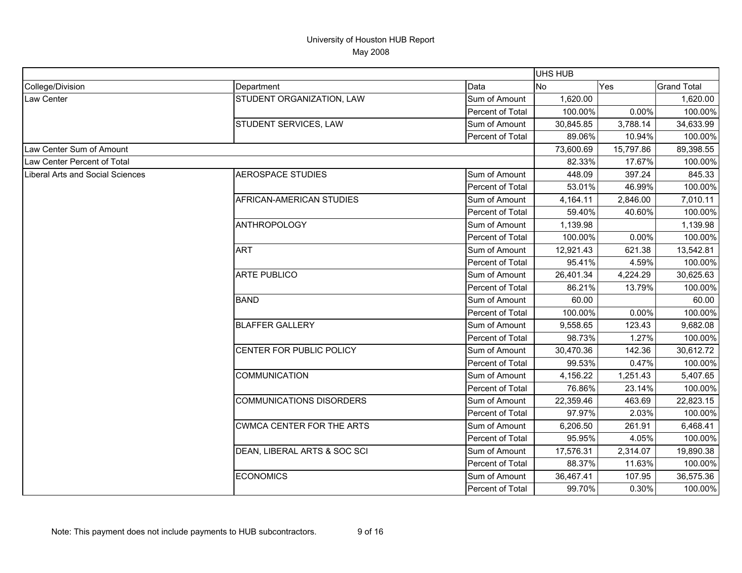|                                  |                                  |                  | <b>UHS HUB</b> |           |                    |
|----------------------------------|----------------------------------|------------------|----------------|-----------|--------------------|
| College/Division                 | Department                       | Data             | N <sub>o</sub> | Yes       | <b>Grand Total</b> |
| <b>Law Center</b>                | STUDENT ORGANIZATION, LAW        | Sum of Amount    | 1,620.00       |           | 1,620.00           |
|                                  |                                  | Percent of Total | 100.00%        | 0.00%     | 100.00%            |
|                                  | STUDENT SERVICES, LAW            | Sum of Amount    | 30,845.85      | 3,788.14  | 34,633.99          |
|                                  |                                  | Percent of Total | 89.06%         | 10.94%    | 100.00%            |
| Law Center Sum of Amount         |                                  |                  | 73,600.69      | 15,797.86 | 89,398.55          |
| Law Center Percent of Total      |                                  |                  | 82.33%         | 17.67%    | 100.00%            |
| Liberal Arts and Social Sciences | <b>AEROSPACE STUDIES</b>         | Sum of Amount    | 448.09         | 397.24    | 845.33             |
|                                  |                                  | Percent of Total | 53.01%         | 46.99%    | 100.00%            |
|                                  | AFRICAN-AMERICAN STUDIES         | Sum of Amount    | 4,164.11       | 2,846.00  | 7,010.11           |
|                                  |                                  | Percent of Total | 59.40%         | 40.60%    | 100.00%            |
|                                  | <b>ANTHROPOLOGY</b>              | Sum of Amount    | 1,139.98       |           | 1,139.98           |
|                                  |                                  | Percent of Total | 100.00%        | 0.00%     | 100.00%            |
|                                  | <b>ART</b>                       | Sum of Amount    | 12,921.43      | 621.38    | 13,542.81          |
|                                  |                                  | Percent of Total | 95.41%         | 4.59%     | 100.00%            |
|                                  | <b>ARTE PUBLICO</b>              | Sum of Amount    | 26,401.34      | 4,224.29  | 30,625.63          |
|                                  |                                  | Percent of Total | 86.21%         | 13.79%    | 100.00%            |
|                                  | <b>BAND</b>                      | Sum of Amount    | 60.00          |           | 60.00              |
|                                  |                                  | Percent of Total | 100.00%        | 0.00%     | 100.00%            |
|                                  | <b>BLAFFER GALLERY</b>           | Sum of Amount    | 9,558.65       | 123.43    | 9,682.08           |
|                                  |                                  | Percent of Total | 98.73%         | 1.27%     | 100.00%            |
|                                  | CENTER FOR PUBLIC POLICY         | Sum of Amount    | 30,470.36      | 142.36    | 30,612.72          |
|                                  |                                  | Percent of Total | 99.53%         | 0.47%     | 100.00%            |
|                                  | <b>COMMUNICATION</b>             | Sum of Amount    | 4,156.22       | 1,251.43  | 5,407.65           |
|                                  |                                  | Percent of Total | 76.86%         | 23.14%    | 100.00%            |
|                                  | <b>COMMUNICATIONS DISORDERS</b>  | Sum of Amount    | 22,359.46      | 463.69    | 22,823.15          |
|                                  |                                  | Percent of Total | 97.97%         | 2.03%     | 100.00%            |
|                                  | <b>CWMCA CENTER FOR THE ARTS</b> | Sum of Amount    | 6,206.50       | 261.91    | 6,468.41           |
|                                  |                                  | Percent of Total | 95.95%         | 4.05%     | 100.00%            |
|                                  | DEAN, LIBERAL ARTS & SOC SCI     | Sum of Amount    | 17,576.31      | 2,314.07  | 19,890.38          |
|                                  |                                  | Percent of Total | 88.37%         | 11.63%    | 100.00%            |
|                                  | <b>ECONOMICS</b>                 | Sum of Amount    | 36,467.41      | 107.95    | 36,575.36          |
|                                  |                                  | Percent of Total | 99.70%         | 0.30%     | 100.00%            |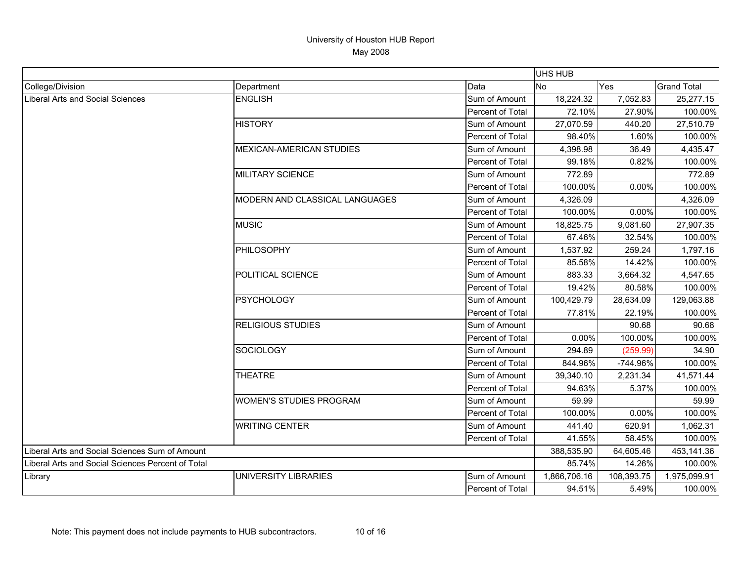|                                                   |                                 |                  | <b>UHS HUB</b> |            |                    |
|---------------------------------------------------|---------------------------------|------------------|----------------|------------|--------------------|
| College/Division                                  | Department                      | Data             | <b>No</b>      | Yes        | <b>Grand Total</b> |
| Liberal Arts and Social Sciences                  | <b>ENGLISH</b>                  | Sum of Amount    | 18,224.32      | 7,052.83   | 25,277.15          |
|                                                   |                                 | Percent of Total | 72.10%         | 27.90%     | 100.00%            |
|                                                   | <b>HISTORY</b>                  | Sum of Amount    | 27,070.59      | 440.20     | 27,510.79          |
|                                                   |                                 | Percent of Total | 98.40%         | 1.60%      | 100.00%            |
|                                                   | <b>MEXICAN-AMERICAN STUDIES</b> | Sum of Amount    | 4,398.98       | 36.49      | 4,435.47           |
|                                                   |                                 | Percent of Total | 99.18%         | 0.82%      | 100.00%            |
|                                                   | <b>MILITARY SCIENCE</b>         | Sum of Amount    | 772.89         |            | 772.89             |
|                                                   |                                 | Percent of Total | 100.00%        | 0.00%      | 100.00%            |
|                                                   | MODERN AND CLASSICAL LANGUAGES  | Sum of Amount    | 4,326.09       |            | 4,326.09           |
|                                                   |                                 | Percent of Total | 100.00%        | 0.00%      | 100.00%            |
|                                                   | <b>MUSIC</b>                    | Sum of Amount    | 18,825.75      | 9,081.60   | 27,907.35          |
|                                                   |                                 | Percent of Total | 67.46%         | 32.54%     | 100.00%            |
|                                                   | PHILOSOPHY                      | Sum of Amount    | 1,537.92       | 259.24     | 1,797.16           |
|                                                   |                                 | Percent of Total | 85.58%         | 14.42%     | 100.00%            |
|                                                   | POLITICAL SCIENCE               | Sum of Amount    | 883.33         | 3,664.32   | 4,547.65           |
|                                                   |                                 | Percent of Total | 19.42%         | 80.58%     | 100.00%            |
|                                                   | <b>PSYCHOLOGY</b>               | Sum of Amount    | 100,429.79     | 28,634.09  | 129,063.88         |
|                                                   |                                 | Percent of Total | 77.81%         | 22.19%     | 100.00%            |
|                                                   | <b>RELIGIOUS STUDIES</b>        | Sum of Amount    |                | 90.68      | 90.68              |
|                                                   |                                 | Percent of Total | 0.00%          | 100.00%    | 100.00%            |
|                                                   | <b>SOCIOLOGY</b>                | Sum of Amount    | 294.89         | (259.99)   | 34.90              |
|                                                   |                                 | Percent of Total | 844.96%        | -744.96%   | 100.00%            |
|                                                   | <b>THEATRE</b>                  | Sum of Amount    | 39,340.10      | 2,231.34   | 41,571.44          |
|                                                   |                                 | Percent of Total | 94.63%         | 5.37%      | 100.00%            |
|                                                   | <b>WOMEN'S STUDIES PROGRAM</b>  | Sum of Amount    | 59.99          |            | 59.99              |
|                                                   |                                 | Percent of Total | 100.00%        | 0.00%      | 100.00%            |
|                                                   | <b>WRITING CENTER</b>           | Sum of Amount    | 441.40         | 620.91     | 1,062.31           |
|                                                   |                                 | Percent of Total | 41.55%         | 58.45%     | 100.00%            |
| Liberal Arts and Social Sciences Sum of Amount    |                                 |                  | 388,535.90     | 64,605.46  | 453,141.36         |
| Liberal Arts and Social Sciences Percent of Total |                                 |                  | 85.74%         | 14.26%     | 100.00%            |
| Library                                           | <b>UNIVERSITY LIBRARIES</b>     | Sum of Amount    | 1,866,706.16   | 108,393.75 | 1,975,099.91       |
|                                                   |                                 | Percent of Total | 94.51%         | 5.49%      | 100.00%            |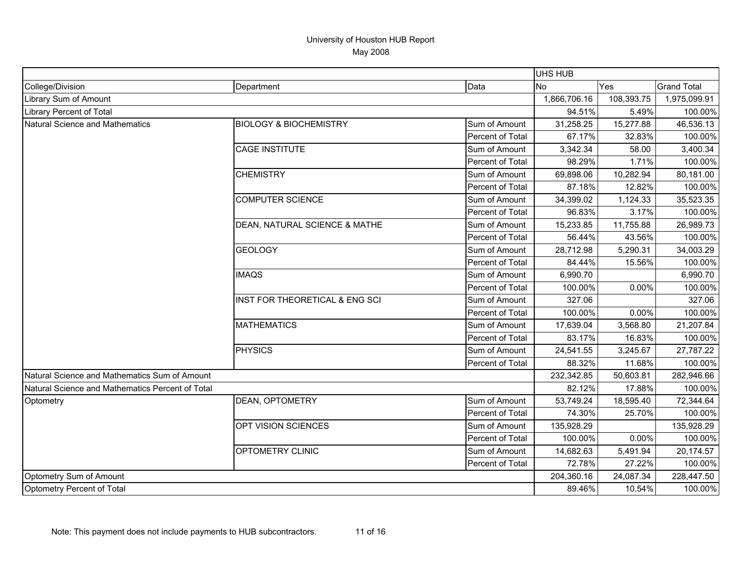|                                                  |                                   |                  | <b>UHS HUB</b> |            |                    |
|--------------------------------------------------|-----------------------------------|------------------|----------------|------------|--------------------|
| College/Division                                 | Department                        | Data             | <b>No</b>      | Yes        | <b>Grand Total</b> |
| Library Sum of Amount                            |                                   |                  | 1,866,706.16   | 108,393.75 | 1,975,099.91       |
| <b>Library Percent of Total</b>                  |                                   |                  | 94.51%         | 5.49%      | 100.00%            |
| Natural Science and Mathematics                  | <b>BIOLOGY &amp; BIOCHEMISTRY</b> | Sum of Amount    | 31,258.25      | 15,277.88  | 46,536.13          |
|                                                  |                                   | Percent of Total | 67.17%         | 32.83%     | 100.00%            |
|                                                  | <b>CAGE INSTITUTE</b>             | Sum of Amount    | 3,342.34       | 58.00      | 3,400.34           |
|                                                  |                                   | Percent of Total | 98.29%         | 1.71%      | 100.00%            |
|                                                  | <b>CHEMISTRY</b>                  | Sum of Amount    | 69,898.06      | 10,282.94  | 80,181.00          |
|                                                  |                                   | Percent of Total | 87.18%         | 12.82%     | 100.00%            |
|                                                  | <b>COMPUTER SCIENCE</b>           | Sum of Amount    | 34,399.02      | 1,124.33   | 35,523.35          |
|                                                  |                                   | Percent of Total | 96.83%         | 3.17%      | 100.00%            |
|                                                  | DEAN, NATURAL SCIENCE & MATHE     | Sum of Amount    | 15,233.85      | 11,755.88  | 26,989.73          |
|                                                  |                                   | Percent of Total | 56.44%         | 43.56%     | 100.00%            |
|                                                  | <b>GEOLOGY</b>                    | Sum of Amount    | 28,712.98      | 5,290.31   | 34,003.29          |
|                                                  |                                   | Percent of Total | 84.44%         | 15.56%     | 100.00%            |
|                                                  | <b>IMAQS</b>                      | Sum of Amount    | 6,990.70       |            | 6,990.70           |
|                                                  |                                   | Percent of Total | 100.00%        | 0.00%      | 100.00%            |
|                                                  | INST FOR THEORETICAL & ENG SCI    | Sum of Amount    | 327.06         |            | 327.06             |
|                                                  |                                   | Percent of Total | 100.00%        | 0.00%      | 100.00%            |
|                                                  | <b>MATHEMATICS</b>                | Sum of Amount    | 17,639.04      | 3,568.80   | 21,207.84          |
|                                                  |                                   | Percent of Total | 83.17%         | 16.83%     | 100.00%            |
|                                                  | PHYSICS                           | Sum of Amount    | 24,541.55      | 3,245.67   | 27,787.22          |
|                                                  |                                   | Percent of Total | 88.32%         | 11.68%     | 100.00%            |
| Natural Science and Mathematics Sum of Amount    |                                   |                  | 232,342.85     | 50,603.81  | 282,946.66         |
| Natural Science and Mathematics Percent of Total |                                   |                  | 82.12%         | 17.88%     | 100.00%            |
| Optometry                                        | <b>DEAN, OPTOMETRY</b>            | Sum of Amount    | 53,749.24      | 18,595.40  | 72,344.64          |
|                                                  |                                   | Percent of Total | 74.30%         | 25.70%     | 100.00%            |
|                                                  | OPT VISION SCIENCES               | Sum of Amount    | 135,928.29     |            | 135,928.29         |
|                                                  |                                   | Percent of Total | 100.00%        | 0.00%      | 100.00%            |
|                                                  | OPTOMETRY CLINIC                  | Sum of Amount    | 14,682.63      | 5,491.94   | 20,174.57          |
|                                                  |                                   | Percent of Total | 72.78%         | 27.22%     | 100.00%            |
| Optometry Sum of Amount                          |                                   |                  | 204,360.16     | 24,087.34  | 228,447.50         |
| Optometry Percent of Total                       |                                   |                  | 89.46%         | 10.54%     | 100.00%            |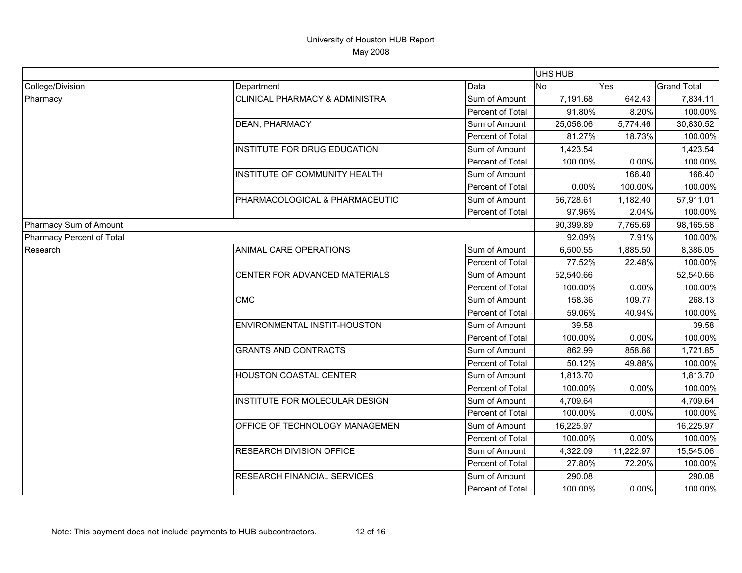|                           |                                           |                  | UHS HUB   |           |                    |
|---------------------------|-------------------------------------------|------------------|-----------|-----------|--------------------|
| College/Division          | Department                                | Data             | <b>No</b> | Yes       | <b>Grand Total</b> |
| Pharmacy                  | <b>CLINICAL PHARMACY &amp; ADMINISTRA</b> | Sum of Amount    | 7,191.68  | 642.43    | 7,834.11           |
|                           |                                           | Percent of Total | 91.80%    | 8.20%     | 100.00%            |
|                           | <b>DEAN, PHARMACY</b>                     | Sum of Amount    | 25,056.06 | 5,774.46  | 30,830.52          |
|                           |                                           | Percent of Total | 81.27%    | 18.73%    | 100.00%            |
|                           | INSTITUTE FOR DRUG EDUCATION              | Sum of Amount    | 1,423.54  |           | 1,423.54           |
|                           |                                           | Percent of Total | 100.00%   | 0.00%     | 100.00%            |
|                           | INSTITUTE OF COMMUNITY HEALTH             | Sum of Amount    |           | 166.40    | 166.40             |
|                           |                                           | Percent of Total | $0.00\%$  | 100.00%   | 100.00%            |
|                           | PHARMACOLOGICAL & PHARMACEUTIC            | Sum of Amount    | 56,728.61 | 1,182.40  | 57,911.01          |
|                           |                                           | Percent of Total | 97.96%    | 2.04%     | 100.00%            |
| Pharmacy Sum of Amount    |                                           |                  | 90,399.89 | 7,765.69  | 98,165.58          |
| Pharmacy Percent of Total |                                           |                  | 92.09%    | 7.91%     | 100.00%            |
| Research                  | ANIMAL CARE OPERATIONS                    | Sum of Amount    | 6,500.55  | 1,885.50  | 8,386.05           |
|                           |                                           | Percent of Total | 77.52%    | 22.48%    | 100.00%            |
|                           | CENTER FOR ADVANCED MATERIALS             | Sum of Amount    | 52,540.66 |           | 52,540.66          |
|                           |                                           | Percent of Total | 100.00%   | 0.00%     | 100.00%            |
|                           | <b>CMC</b>                                | Sum of Amount    | 158.36    | 109.77    | 268.13             |
|                           |                                           | Percent of Total | 59.06%    | 40.94%    | 100.00%            |
|                           | ENVIRONMENTAL INSTIT-HOUSTON              | Sum of Amount    | 39.58     |           | 39.58              |
|                           |                                           | Percent of Total | 100.00%   | 0.00%     | 100.00%            |
|                           | <b>GRANTS AND CONTRACTS</b>               | Sum of Amount    | 862.99    | 858.86    | 1,721.85           |
|                           |                                           | Percent of Total | 50.12%    | 49.88%    | 100.00%            |
|                           | <b>HOUSTON COASTAL CENTER</b>             | Sum of Amount    | 1,813.70  |           | 1,813.70           |
|                           |                                           | Percent of Total | 100.00%   | 0.00%     | 100.00%            |
|                           | INSTITUTE FOR MOLECULAR DESIGN            | Sum of Amount    | 4,709.64  |           | 4,709.64           |
|                           |                                           | Percent of Total | 100.00%   | 0.00%     | 100.00%            |
|                           | OFFICE OF TECHNOLOGY MANAGEMEN            | Sum of Amount    | 16,225.97 |           | 16,225.97          |
|                           |                                           | Percent of Total | 100.00%   | 0.00%     | 100.00%            |
|                           | RESEARCH DIVISION OFFICE                  | Sum of Amount    | 4,322.09  | 11,222.97 | 15,545.06          |
|                           |                                           | Percent of Total | 27.80%    | 72.20%    | 100.00%            |
|                           | RESEARCH FINANCIAL SERVICES               | Sum of Amount    | 290.08    |           | 290.08             |
|                           |                                           | Percent of Total | 100.00%   | 0.00%     | 100.00%            |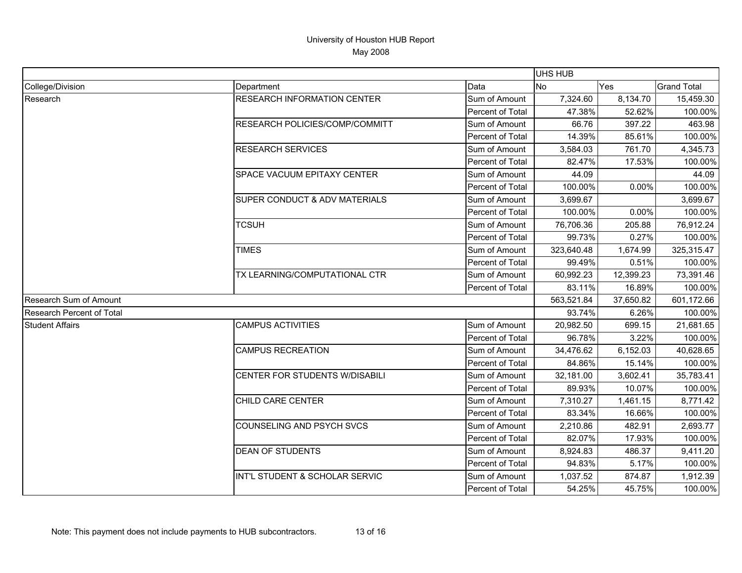|                               |                                          |                  | UHS HUB    |           |                    |
|-------------------------------|------------------------------------------|------------------|------------|-----------|--------------------|
| College/Division              | Department                               | Data             | <b>No</b>  | Yes       | <b>Grand Total</b> |
| Research                      | <b>RESEARCH INFORMATION CENTER</b>       | Sum of Amount    | 7,324.60   | 8,134.70  | 15,459.30          |
|                               |                                          | Percent of Total | 47.38%     | 52.62%    | 100.00%            |
|                               | RESEARCH POLICIES/COMP/COMMITT           | Sum of Amount    | 66.76      | 397.22    | 463.98             |
|                               |                                          | Percent of Total | 14.39%     | 85.61%    | 100.00%            |
|                               | <b>RESEARCH SERVICES</b>                 | Sum of Amount    | 3,584.03   | 761.70    | 4,345.73           |
|                               |                                          | Percent of Total | 82.47%     | 17.53%    | 100.00%            |
|                               | SPACE VACUUM EPITAXY CENTER              | Sum of Amount    | 44.09      |           | 44.09              |
|                               |                                          | Percent of Total | 100.00%    | 0.00%     | 100.00%            |
|                               | <b>SUPER CONDUCT &amp; ADV MATERIALS</b> | Sum of Amount    | 3,699.67   |           | 3,699.67           |
|                               |                                          | Percent of Total | 100.00%    | 0.00%     | 100.00%            |
|                               | <b>TCSUH</b>                             | Sum of Amount    | 76,706.36  | 205.88    | 76,912.24          |
|                               |                                          | Percent of Total | 99.73%     | 0.27%     | 100.00%            |
|                               | <b>TIMES</b>                             | Sum of Amount    | 323,640.48 | 1,674.99  | 325,315.47         |
|                               |                                          | Percent of Total | 99.49%     | 0.51%     | 100.00%            |
|                               | TX LEARNING/COMPUTATIONAL CTR            | Sum of Amount    | 60,992.23  | 12,399.23 | 73,391.46          |
|                               |                                          | Percent of Total | 83.11%     | 16.89%    | 100.00%            |
| <b>Research Sum of Amount</b> |                                          |                  | 563,521.84 | 37,650.82 | 601,172.66         |
| Research Percent of Total     |                                          |                  | 93.74%     | 6.26%     | 100.00%            |
| <b>Student Affairs</b>        | <b>CAMPUS ACTIVITIES</b>                 | Sum of Amount    | 20,982.50  | 699.15    | 21,681.65          |
|                               |                                          | Percent of Total | 96.78%     | 3.22%     | 100.00%            |
|                               | <b>CAMPUS RECREATION</b>                 | Sum of Amount    | 34,476.62  | 6,152.03  | 40,628.65          |
|                               |                                          | Percent of Total | 84.86%     | 15.14%    | 100.00%            |
|                               | CENTER FOR STUDENTS W/DISABILI           | Sum of Amount    | 32,181.00  | 3,602.41  | 35,783.41          |
|                               |                                          | Percent of Total | 89.93%     | 10.07%    | 100.00%            |
|                               | CHILD CARE CENTER                        | Sum of Amount    | 7,310.27   | 1,461.15  | 8,771.42           |
|                               |                                          | Percent of Total | 83.34%     | 16.66%    | 100.00%            |
|                               | COUNSELING AND PSYCH SVCS                | Sum of Amount    | 2,210.86   | 482.91    | 2,693.77           |
|                               |                                          | Percent of Total | 82.07%     | 17.93%    | 100.00%            |
|                               | <b>DEAN OF STUDENTS</b>                  | Sum of Amount    | 8,924.83   | 486.37    | 9,411.20           |
|                               |                                          | Percent of Total | 94.83%     | 5.17%     | 100.00%            |
|                               | INT'L STUDENT & SCHOLAR SERVIC           | Sum of Amount    | 1,037.52   | 874.87    | 1,912.39           |
|                               |                                          | Percent of Total | 54.25%     | 45.75%    | 100.00%            |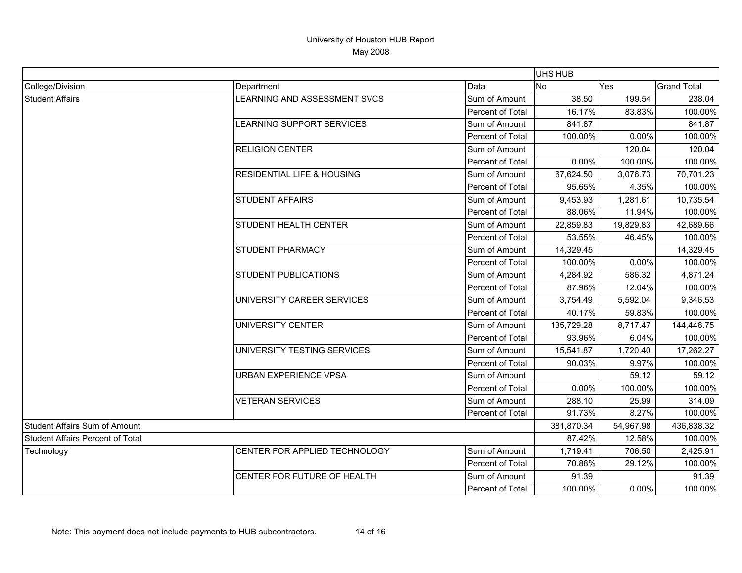|                                         |                                       |                  | UHS HUB    |            |                    |
|-----------------------------------------|---------------------------------------|------------------|------------|------------|--------------------|
| College/Division                        | Department                            | Data             | No         | Yes        | <b>Grand Total</b> |
| <b>Student Affairs</b>                  | LEARNING AND ASSESSMENT SVCS          | Sum of Amount    | 38.50      | 199.54     | 238.04             |
|                                         |                                       | Percent of Total | 16.17%     | 83.83%     | 100.00%            |
|                                         | LEARNING SUPPORT SERVICES             | Sum of Amount    | 841.87     |            | 841.87             |
|                                         |                                       | Percent of Total | 100.00%    | 0.00%      | 100.00%            |
|                                         | <b>RELIGION CENTER</b>                | Sum of Amount    |            | 120.04     | 120.04             |
|                                         |                                       | Percent of Total | 0.00%      | 100.00%    | 100.00%            |
|                                         | <b>RESIDENTIAL LIFE &amp; HOUSING</b> | Sum of Amount    | 67,624.50  | 3,076.73   | 70,701.23          |
|                                         |                                       | Percent of Total | 95.65%     | 4.35%      | 100.00%            |
|                                         | <b>STUDENT AFFAIRS</b>                | Sum of Amount    | 9,453.93   | 1,281.61   | 10,735.54          |
|                                         |                                       | Percent of Total | 88.06%     | 11.94%     | 100.00%            |
|                                         | STUDENT HEALTH CENTER                 | Sum of Amount    | 22,859.83  | 19,829.83  | 42,689.66          |
|                                         |                                       | Percent of Total | 53.55%     | 46.45%     | 100.00%            |
|                                         | <b>STUDENT PHARMACY</b>               | Sum of Amount    | 14,329.45  |            | 14,329.45          |
|                                         |                                       | Percent of Total | 100.00%    | 0.00%      | 100.00%            |
|                                         | <b>STUDENT PUBLICATIONS</b>           | Sum of Amount    | 4,284.92   | 586.32     | 4,871.24           |
|                                         |                                       | Percent of Total | 87.96%     | 12.04%     | 100.00%            |
|                                         | UNIVERSITY CAREER SERVICES            | Sum of Amount    | 3,754.49   | 5,592.04   | 9,346.53           |
|                                         |                                       | Percent of Total | 40.17%     | 59.83%     | 100.00%            |
|                                         | UNIVERSITY CENTER                     | Sum of Amount    | 135,729.28 | 8,717.47   | 144,446.75         |
|                                         |                                       | Percent of Total | 93.96%     | 6.04%      | 100.00%            |
|                                         | UNIVERSITY TESTING SERVICES           | Sum of Amount    | 15,541.87  | 1,720.40   | 17,262.27          |
|                                         |                                       | Percent of Total | 90.03%     | 9.97%      | 100.00%            |
|                                         | URBAN EXPERIENCE VPSA                 | Sum of Amount    |            | 59.12      | 59.12              |
|                                         |                                       | Percent of Total | 0.00%      | 100.00%    | 100.00%            |
|                                         | <b>VETERAN SERVICES</b>               | Sum of Amount    | 288.10     | 25.99      | 314.09             |
|                                         |                                       | Percent of Total | 91.73%     | 8.27%      | 100.00%            |
| <b>Student Affairs Sum of Amount</b>    |                                       | 381,870.34       | 54,967.98  | 436,838.32 |                    |
| <b>Student Affairs Percent of Total</b> |                                       | 87.42%           | 12.58%     | 100.00%    |                    |
| Technology                              | CENTER FOR APPLIED TECHNOLOGY         | Sum of Amount    | 1,719.41   | 706.50     | 2,425.91           |
|                                         |                                       | Percent of Total | 70.88%     | 29.12%     | 100.00%            |
|                                         | CENTER FOR FUTURE OF HEALTH           | Sum of Amount    | 91.39      |            | 91.39              |
|                                         |                                       | Percent of Total | 100.00%    | 0.00%      | 100.00%            |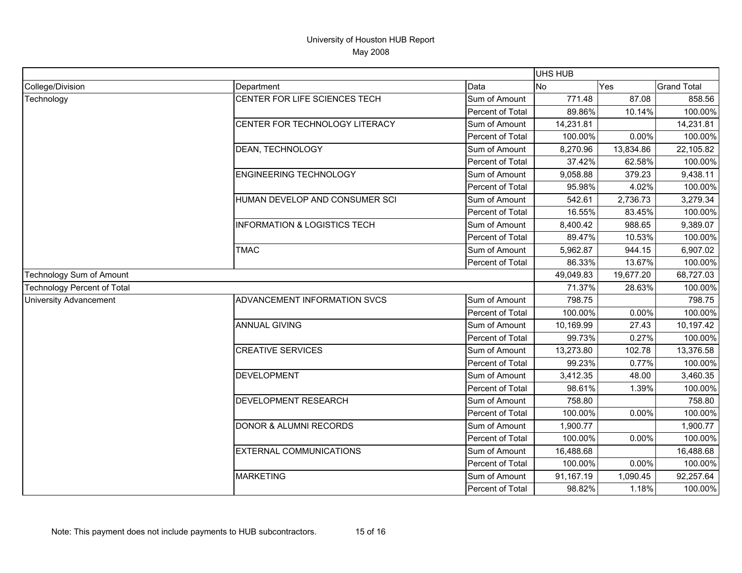|                                    |                                         |                  | UHS HUB   |           |                    |
|------------------------------------|-----------------------------------------|------------------|-----------|-----------|--------------------|
| College/Division                   | Department                              | Data             | <b>No</b> | Yes       | <b>Grand Total</b> |
| Technology                         | CENTER FOR LIFE SCIENCES TECH           | Sum of Amount    | 771.48    | 87.08     | 858.56             |
|                                    |                                         | Percent of Total | 89.86%    | 10.14%    | 100.00%            |
|                                    | CENTER FOR TECHNOLOGY LITERACY          | Sum of Amount    | 14,231.81 |           | 14,231.81          |
|                                    |                                         | Percent of Total | 100.00%   | 0.00%     | 100.00%            |
|                                    | DEAN, TECHNOLOGY                        | Sum of Amount    | 8,270.96  | 13,834.86 | 22,105.82          |
|                                    |                                         | Percent of Total | 37.42%    | 62.58%    | 100.00%            |
|                                    | <b>ENGINEERING TECHNOLOGY</b>           | Sum of Amount    | 9,058.88  | 379.23    | 9,438.11           |
|                                    |                                         | Percent of Total | 95.98%    | 4.02%     | 100.00%            |
|                                    | HUMAN DEVELOP AND CONSUMER SCI          | Sum of Amount    | 542.61    | 2,736.73  | 3,279.34           |
|                                    |                                         | Percent of Total | 16.55%    | 83.45%    | 100.00%            |
|                                    | <b>INFORMATION &amp; LOGISTICS TECH</b> | Sum of Amount    | 8,400.42  | 988.65    | 9,389.07           |
|                                    |                                         | Percent of Total | 89.47%    | 10.53%    | 100.00%            |
|                                    | <b>TMAC</b>                             | Sum of Amount    | 5,962.87  | 944.15    | 6,907.02           |
|                                    |                                         | Percent of Total | 86.33%    | 13.67%    | 100.00%            |
| Technology Sum of Amount           |                                         |                  | 49,049.83 | 19,677.20 | 68,727.03          |
| <b>Technology Percent of Total</b> |                                         |                  | 71.37%    | 28.63%    | 100.00%            |
| <b>University Advancement</b>      | ADVANCEMENT INFORMATION SVCS            | Sum of Amount    | 798.75    |           | 798.75             |
|                                    |                                         | Percent of Total | 100.00%   | 0.00%     | 100.00%            |
|                                    | <b>ANNUAL GIVING</b>                    | Sum of Amount    | 10,169.99 | 27.43     | 10,197.42          |
|                                    |                                         | Percent of Total | 99.73%    | 0.27%     | 100.00%            |
|                                    | <b>CREATIVE SERVICES</b>                | Sum of Amount    | 13,273.80 | 102.78    | 13,376.58          |
|                                    |                                         | Percent of Total | 99.23%    | 0.77%     | 100.00%            |
|                                    | <b>DEVELOPMENT</b>                      | Sum of Amount    | 3,412.35  | 48.00     | 3,460.35           |
|                                    |                                         | Percent of Total | 98.61%    | 1.39%     | 100.00%            |
|                                    | <b>DEVELOPMENT RESEARCH</b>             | Sum of Amount    | 758.80    |           | 758.80             |
|                                    |                                         | Percent of Total | 100.00%   | 0.00%     | 100.00%            |
|                                    | <b>DONOR &amp; ALUMNI RECORDS</b>       | Sum of Amount    | 1,900.77  |           | 1,900.77           |
|                                    |                                         | Percent of Total | 100.00%   | 0.00%     | 100.00%            |
|                                    | <b>EXTERNAL COMMUNICATIONS</b>          | Sum of Amount    | 16,488.68 |           | 16,488.68          |
|                                    |                                         | Percent of Total | 100.00%   | 0.00%     | 100.00%            |
|                                    | <b>MARKETING</b>                        | Sum of Amount    | 91,167.19 | 1,090.45  | 92,257.64          |
|                                    |                                         | Percent of Total | 98.82%    | 1.18%     | 100.00%            |